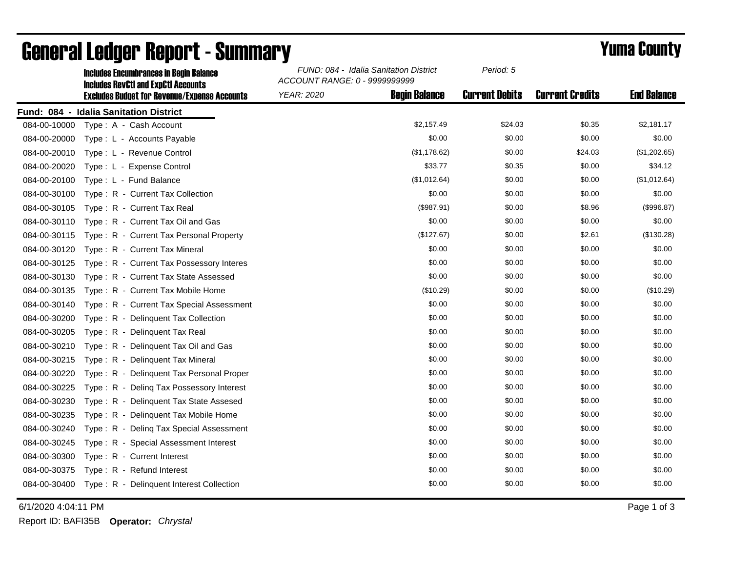|              | <b>Includes Encumbrances in Begin Balance</b><br><b>Includes RevCtI and ExpCtI Accounts</b> | FUND: 084 - Idalia Sanitation District<br>ACCOUNT RANGE: 0 - 9999999999 |                      | Period: 5             |                        |                    |
|--------------|---------------------------------------------------------------------------------------------|-------------------------------------------------------------------------|----------------------|-----------------------|------------------------|--------------------|
|              | <b>Excludes Budget for Revenue/Expense Accounts</b>                                         | <b>YEAR: 2020</b>                                                       | <b>Begin Balance</b> | <b>Current Debits</b> | <b>Current Credits</b> | <b>End Balance</b> |
|              | Fund: 084 - Idalia Sanitation District                                                      |                                                                         |                      |                       |                        |                    |
| 084-00-10000 | Type: A - Cash Account                                                                      |                                                                         | \$2,157.49           | \$24.03               | \$0.35                 | \$2,181.17         |
| 084-00-20000 | Type: L - Accounts Payable                                                                  |                                                                         | \$0.00               | \$0.00                | \$0.00                 | \$0.00             |
| 084-00-20010 | Type: L - Revenue Control                                                                   |                                                                         | (\$1,178.62)         | \$0.00                | \$24.03                | (\$1,202.65)       |
| 084-00-20020 | Type: L - Expense Control                                                                   |                                                                         | \$33.77              | \$0.35                | \$0.00                 | \$34.12            |
| 084-00-20100 | Type: L - Fund Balance                                                                      |                                                                         | (\$1,012.64)         | \$0.00                | \$0.00                 | (\$1,012.64)       |
| 084-00-30100 | Type: R - Current Tax Collection                                                            |                                                                         | \$0.00               | \$0.00                | \$0.00                 | \$0.00             |
| 084-00-30105 | Type: R - Current Tax Real                                                                  |                                                                         | (\$987.91)           | \$0.00                | \$8.96                 | (\$996.87)         |
| 084-00-30110 | Type: R - Current Tax Oil and Gas                                                           |                                                                         | \$0.00               | \$0.00                | \$0.00                 | \$0.00             |
| 084-00-30115 | Type: R - Current Tax Personal Property                                                     |                                                                         | (\$127.67)           | \$0.00                | \$2.61                 | (\$130.28)         |
| 084-00-30120 | Type: R - Current Tax Mineral                                                               |                                                                         | \$0.00               | \$0.00                | \$0.00                 | \$0.00             |
| 084-00-30125 | Type: R - Current Tax Possessory Interes                                                    |                                                                         | \$0.00               | \$0.00                | \$0.00                 | \$0.00             |
| 084-00-30130 | Type: R - Current Tax State Assessed                                                        |                                                                         | \$0.00               | \$0.00                | \$0.00                 | \$0.00             |
| 084-00-30135 | Type: R - Current Tax Mobile Home                                                           |                                                                         | (\$10.29)            | \$0.00                | \$0.00                 | (\$10.29)          |
| 084-00-30140 | Type: R - Current Tax Special Assessment                                                    |                                                                         | \$0.00               | \$0.00                | \$0.00                 | \$0.00             |
| 084-00-30200 | Type: R - Delinquent Tax Collection                                                         |                                                                         | \$0.00               | \$0.00                | \$0.00                 | \$0.00             |
| 084-00-30205 | Type: R - Delinquent Tax Real                                                               |                                                                         | \$0.00               | \$0.00                | \$0.00                 | \$0.00             |
| 084-00-30210 | Type: R - Delinquent Tax Oil and Gas                                                        |                                                                         | \$0.00               | \$0.00                | \$0.00                 | \$0.00             |
| 084-00-30215 | Type: R - Delinquent Tax Mineral                                                            |                                                                         | \$0.00               | \$0.00                | \$0.00                 | \$0.00             |
| 084-00-30220 | Type: R - Delinquent Tax Personal Proper                                                    |                                                                         | \$0.00               | \$0.00                | \$0.00                 | \$0.00             |
| 084-00-30225 | Type: R - Deling Tax Possessory Interest                                                    |                                                                         | \$0.00               | \$0.00                | \$0.00                 | \$0.00             |
| 084-00-30230 | Type: R - Delinguent Tax State Assesed                                                      |                                                                         | \$0.00               | \$0.00                | \$0.00                 | \$0.00             |
| 084-00-30235 | Type: R - Delinquent Tax Mobile Home                                                        |                                                                         | \$0.00               | \$0.00                | \$0.00                 | \$0.00             |
| 084-00-30240 | Type: R - Deling Tax Special Assessment                                                     |                                                                         | \$0.00               | \$0.00                | \$0.00                 | \$0.00             |
| 084-00-30245 | Type: R - Special Assessment Interest                                                       |                                                                         | \$0.00               | \$0.00                | \$0.00                 | \$0.00             |
| 084-00-30300 | Type: R - Current Interest                                                                  |                                                                         | \$0.00               | \$0.00                | \$0.00                 | \$0.00             |
| 084-00-30375 | Type: R - Refund Interest                                                                   |                                                                         | \$0.00               | \$0.00                | \$0.00                 | \$0.00             |
|              | 084-00-30400 Type: R - Delinquent Interest Collection                                       |                                                                         | \$0.00               | \$0.00                | \$0.00                 | \$0.00             |

## General Ledger Report - Summary **Example 2018** Yuma County

6/1/2020 4:04:11 PM Page 1 of 3

Report ID: BAFI35B **Operator:** *Chrystal*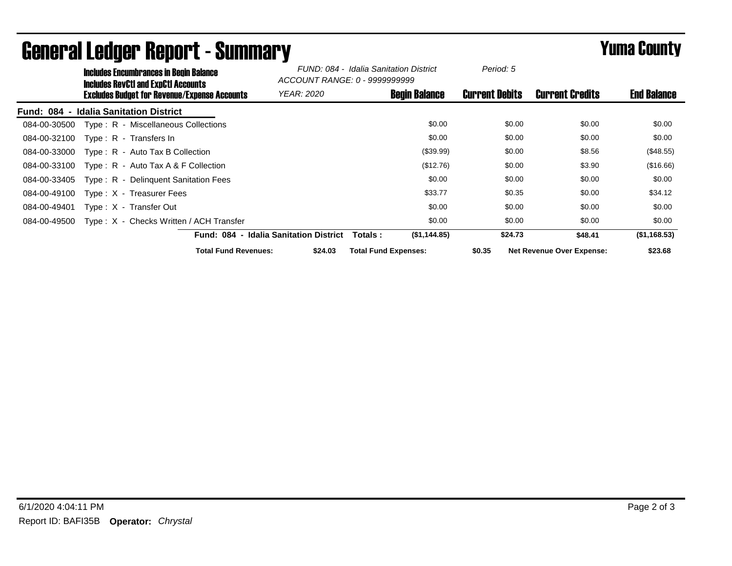|                                    | <b>Includes Encumbrances in Begin Balance</b><br><b>Includes RevCtI and ExpCtI Accounts</b> |                             | FUND: 084 - Idalia Sanitation District<br>ACCOUNT RANGE: 0 - 99999999999 |                             | Period: 5              |                                  |              |
|------------------------------------|---------------------------------------------------------------------------------------------|-----------------------------|--------------------------------------------------------------------------|-----------------------------|------------------------|----------------------------------|--------------|
|                                    | <b>Excludes Budget for Revenue/Expense Accounts</b>                                         | <b>YEAR: 2020</b>           | <b>Begin Balance</b>                                                     | <b>Current Debits</b>       | <b>Current Credits</b> | <b>End Balance</b>               |              |
| <b>Fund: 084</b><br>$\blacksquare$ | <b>Idalia Sanitation District</b>                                                           |                             |                                                                          |                             |                        |                                  |              |
| 084-00-30500                       | Type: R - Miscellaneous Collections                                                         |                             |                                                                          |                             | \$0.00<br>\$0.00       | \$0.00                           | \$0.00       |
| 084-00-32100                       | Type: R - Transfers In                                                                      |                             |                                                                          |                             | \$0.00<br>\$0.00       | \$0.00                           | \$0.00       |
| 084-00-33000                       | Type: R - Auto Tax B Collection                                                             |                             |                                                                          |                             | \$0.00<br>(\$39.99)    | \$8.56                           | (\$48.55)    |
| 084-00-33100                       | Type : $R -$ Auto Tax A & F Collection                                                      |                             |                                                                          | (\$12.76)                   | \$0.00                 | \$3.90                           | (\$16.66)    |
| 084-00-33405                       | Type: R - Delinguent Sanitation Fees                                                        |                             |                                                                          |                             | \$0.00<br>\$0.00       | \$0.00                           | \$0.00       |
| 084-00-49100                       | Type: X - Treasurer Fees                                                                    |                             |                                                                          | \$33.77                     | \$0.35                 | \$0.00                           | \$34.12      |
| 084-00-49401                       | Type: X - Transfer Out                                                                      |                             |                                                                          |                             | \$0.00<br>\$0.00       | \$0.00                           | \$0.00       |
| 084-00-49500                       | Type: X - Checks Written / ACH Transfer                                                     |                             |                                                                          |                             | \$0.00<br>\$0.00       | \$0.00                           | \$0.00       |
|                                    |                                                                                             |                             | Fund: 084 - Idalia Sanitation District                                   | (\$1,144.85)<br>Totals :    | \$24.73                | \$48.41                          | (\$1,168.53) |
|                                    |                                                                                             | <b>Total Fund Revenues:</b> | \$24.03                                                                  | <b>Total Fund Expenses:</b> | \$0.35                 | <b>Net Revenue Over Expense:</b> | \$23.68      |

## General Ledger Report - Summary **Example 2018** Yuma County